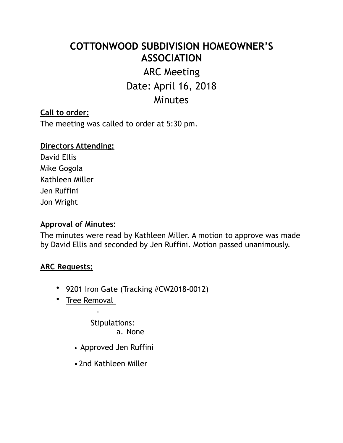# **COTTONWOOD SUBDIVISION HOMEOWNER'S ASSOCIATION**

# ARC Meeting Date: April 16, 2018

# **Minutes**

#### **Call to order:**

The meeting was called to order at 5:30 pm.

## **Directors Attending:**  David Ellis

Mike Gogola Kathleen Miller Jen Ruffini Jon Wright

#### **Approval of Minutes:**

The minutes were read by Kathleen Miller. A motion to approve was made by David Ellis and seconded by Jen Ruffini. Motion passed unanimously.

#### **ARC Requests:**

- 9201 Iron Gate (Tracking #CW2018-0012)
- Tree Removal

-

Stipulations: a. None

- Approved Jen Ruffini
- •2nd Kathleen Miller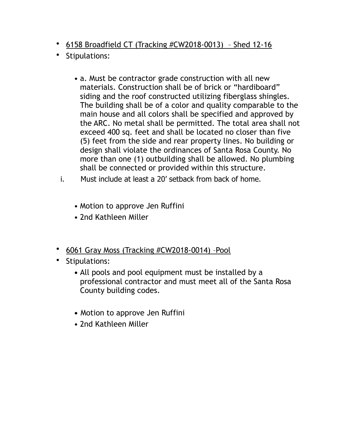- 6158 Broadfield CT (Tracking #CW2018-0013) Shed 12-16
- Stipulations:
	- a. Must be contractor grade construction with all new materials. Construction shall be of brick or "hardiboard" siding and the roof constructed utilizing fiberglass shingles. The building shall be of a color and quality comparable to the main house and all colors shall be specified and approved by the ARC. No metal shall be permitted. The total area shall not exceed 400 sq. feet and shall be located no closer than five (5) feet from the side and rear property lines. No building or design shall violate the ordinances of Santa Rosa County. No more than one (1) outbuilding shall be allowed. No plumbing shall be connected or provided within this structure.
	- i. Must include at least a 20' setback from back of home.
		- Motion to approve Jen Ruffini
		- 2nd Kathleen Miller
- 6061 Gray Moss (Tracking #CW2018-0014) –Pool
- Stipulations:
	- **•** All pools and pool equipment must be installed by a professional contractor and must meet all of the Santa Rosa County building codes.
	- **•** Motion to approve Jen Ruffini
	- 2nd Kathleen Miller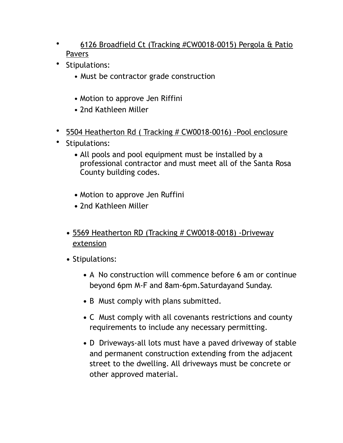- 6126 Broadfield Ct (Tracking #CW0018-0015) Pergola & Patio Pavers
- Stipulations:
	- Must be contractor grade construction
	- Motion to approve Jen Riffini
	- 2nd Kathleen Miller
- 5504 Heatherton Rd ( Tracking # CW0018-0016) -Pool enclosure
- Stipulations:
	- **•** All pools and pool equipment must be installed by a professional contractor and must meet all of the Santa Rosa County building codes.
	- **•** Motion to approve Jen Ruffini
	- **•** 2nd Kathleen Miller
	- **•** 5569 Heatherton RD (Tracking # CW0018-0018) -Driveway extension
	- **•** Stipulations:
		- **•** A No construction will commence before 6 am or continue beyond 6pm M-F and 8am-6pm.Saturdayand Sunday.
		- **•** B Must comply with plans submitted.
		- **•** C Must comply with all covenants restrictions and county requirements to include any necessary permitting.
		- **•** D Driveways-all lots must have a paved driveway of stable and permanent construction extending from the adjacent street to the dwelling. All driveways must be concrete or other approved material.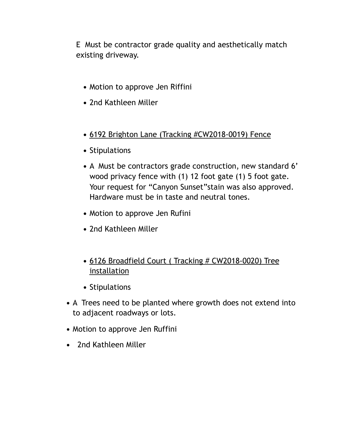E Must be contractor grade quality and aesthetically match existing driveway.

- **•** Motion to approve Jen Riffini
- **•** 2nd Kathleen Miller
- **•** 6192 Brighton Lane (Tracking #CW2018-0019) Fence
- **•** Stipulations
- **•** A Must be contractors grade construction, new standard 6' wood privacy fence with (1) 12 foot gate (1) 5 foot gate. Your request for "Canyon Sunset" stain was also approved. Hardware must be in taste and neutral tones.
- **•** Motion to approve Jen Rufini
- **•** 2nd Kathleen Miller
- 6126 Broadfield Court (Tracking # CW2018-0020) Tree installation
- **•** Stipulations
- **•** A Trees need to be planted where growth does not extend into to adjacent roadways or lots.
- **•** Motion to approve Jen Ruffini
- **•** 2nd Kathleen Miller